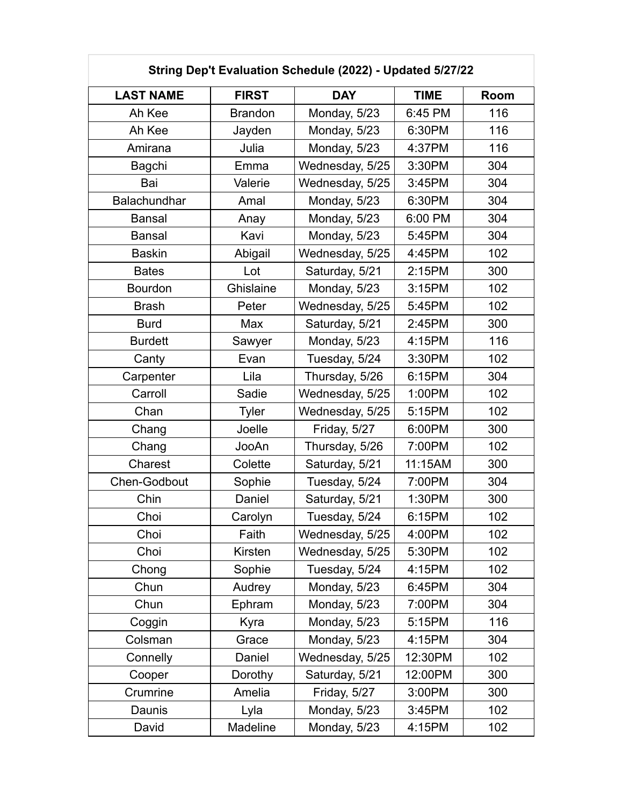| String Dep't Evaluation Schedule (2022) - Updated 5/27/22 |                |                 |             |      |
|-----------------------------------------------------------|----------------|-----------------|-------------|------|
| <b>LAST NAME</b>                                          | <b>FIRST</b>   | <b>DAY</b>      | <b>TIME</b> | Room |
| Ah Kee                                                    | <b>Brandon</b> | Monday, 5/23    | 6:45 PM     | 116  |
| Ah Kee                                                    | Jayden         | Monday, 5/23    | 6:30PM      | 116  |
| Amirana                                                   | Julia          | Monday, 5/23    | 4:37PM      | 116  |
| <b>Bagchi</b>                                             | Emma           | Wednesday, 5/25 | 3:30PM      | 304  |
| Bai                                                       | Valerie        | Wednesday, 5/25 | 3:45PM      | 304  |
| Balachundhar                                              | Amal           | Monday, 5/23    | 6:30PM      | 304  |
| <b>Bansal</b>                                             | Anay           | Monday, 5/23    | 6:00 PM     | 304  |
| <b>Bansal</b>                                             | Kavi           | Monday, 5/23    | 5:45PM      | 304  |
| <b>Baskin</b>                                             | Abigail        | Wednesday, 5/25 | 4:45PM      | 102  |
| <b>Bates</b>                                              | Lot            | Saturday, 5/21  | 2:15PM      | 300  |
| <b>Bourdon</b>                                            | Ghislaine      | Monday, 5/23    | 3:15PM      | 102  |
| <b>Brash</b>                                              | Peter          | Wednesday, 5/25 | 5:45PM      | 102  |
| <b>Burd</b>                                               | Max            | Saturday, 5/21  | 2:45PM      | 300  |
| <b>Burdett</b>                                            | Sawyer         | Monday, 5/23    | 4:15PM      | 116  |
| Canty                                                     | Evan           | Tuesday, 5/24   | 3:30PM      | 102  |
| Carpenter                                                 | Lila           | Thursday, 5/26  | 6:15PM      | 304  |
| Carroll                                                   | Sadie          | Wednesday, 5/25 | 1:00PM      | 102  |
| Chan                                                      | <b>Tyler</b>   | Wednesday, 5/25 | 5:15PM      | 102  |
| Chang                                                     | Joelle         | Friday, 5/27    | 6:00PM      | 300  |
| Chang                                                     | JooAn          | Thursday, 5/26  | 7:00PM      | 102  |
| Charest                                                   | Colette        | Saturday, 5/21  | 11:15AM     | 300  |
| Chen-Godbout                                              | Sophie         | Tuesday, 5/24   | 7:00PM      | 304  |
| Chin                                                      | Daniel         | Saturday, 5/21  | 1:30PM      | 300  |
| Choi                                                      | Carolyn        | Tuesday, 5/24   | 6:15PM      | 102  |
| Choi                                                      | Faith          | Wednesday, 5/25 | 4:00PM      | 102  |
| Choi                                                      | Kirsten        | Wednesday, 5/25 | 5:30PM      | 102  |
| Chong                                                     | Sophie         | Tuesday, 5/24   | 4:15PM      | 102  |
| Chun                                                      | Audrey         | Monday, 5/23    | 6:45PM      | 304  |
| Chun                                                      | Ephram         | Monday, 5/23    | 7:00PM      | 304  |
| Coggin                                                    | Kyra           | Monday, 5/23    | 5:15PM      | 116  |
| Colsman                                                   | Grace          | Monday, 5/23    | 4:15PM      | 304  |
| Connelly                                                  | Daniel         | Wednesday, 5/25 | 12:30PM     | 102  |
| Cooper                                                    | Dorothy        | Saturday, 5/21  | 12:00PM     | 300  |
| Crumrine                                                  | Amelia         | Friday, 5/27    | 3:00PM      | 300  |
| Daunis                                                    | Lyla           | Monday, 5/23    | 3:45PM      | 102  |
| David                                                     | Madeline       | Monday, 5/23    | 4:15PM      | 102  |

 $\Box$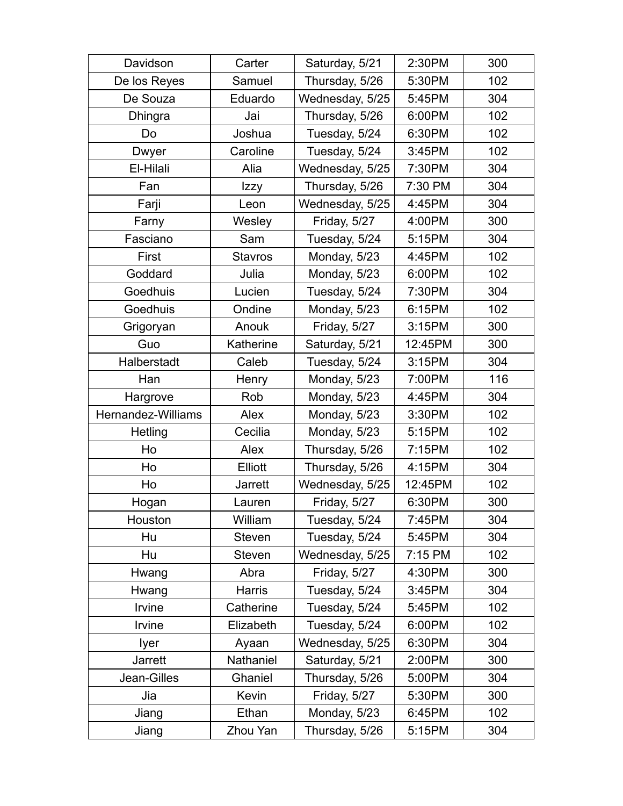| Davidson           | Carter         | Saturday, 5/21  | 2:30PM  | 300 |
|--------------------|----------------|-----------------|---------|-----|
| De los Reyes       | Samuel         | Thursday, 5/26  | 5:30PM  | 102 |
| De Souza           | Eduardo        | Wednesday, 5/25 | 5:45PM  | 304 |
| Dhingra            | Jai            | Thursday, 5/26  | 6:00PM  | 102 |
| Do                 | Joshua         | Tuesday, 5/24   | 6:30PM  | 102 |
| Dwyer              | Caroline       | Tuesday, 5/24   | 3:45PM  | 102 |
| El-Hilali          | Alia           | Wednesday, 5/25 | 7:30PM  | 304 |
| Fan                | Izzy           | Thursday, 5/26  | 7:30 PM | 304 |
| Farji              | Leon           | Wednesday, 5/25 | 4:45PM  | 304 |
| Farny              | Wesley         | Friday, 5/27    | 4:00PM  | 300 |
| Fasciano           | Sam            | Tuesday, 5/24   | 5:15PM  | 304 |
| First              | <b>Stavros</b> | Monday, 5/23    | 4:45PM  | 102 |
| Goddard            | Julia          | Monday, 5/23    | 6:00PM  | 102 |
| Goedhuis           | Lucien         | Tuesday, 5/24   | 7:30PM  | 304 |
| Goedhuis           | Ondine         | Monday, 5/23    | 6:15PM  | 102 |
| Grigoryan          | Anouk          | Friday, 5/27    | 3:15PM  | 300 |
| Guo                | Katherine      | Saturday, 5/21  | 12:45PM | 300 |
| Halberstadt        | Caleb          | Tuesday, 5/24   | 3:15PM  | 304 |
| Han                | Henry          | Monday, 5/23    | 7:00PM  | 116 |
| Hargrove           | Rob            | Monday, 5/23    | 4:45PM  | 304 |
| Hernandez-Williams | Alex           | Monday, 5/23    | 3:30PM  | 102 |
| Hetling            | Cecilia        | Monday, 5/23    | 5:15PM  | 102 |
| Ho                 | Alex           | Thursday, 5/26  | 7:15PM  | 102 |
| Ho                 | Elliott        | Thursday, 5/26  | 4:15PM  | 304 |
| Ho                 | Jarrett        | Wednesday, 5/25 | 12:45PM | 102 |
| Hogan              | Lauren         | Friday, 5/27    | 6:30PM  | 300 |
| Houston            | William        | Tuesday, 5/24   | 7:45PM  | 304 |
| Hu                 | <b>Steven</b>  | Tuesday, 5/24   | 5:45PM  | 304 |
| Hu                 | <b>Steven</b>  | Wednesday, 5/25 | 7:15 PM | 102 |
| Hwang              | Abra           | Friday, 5/27    | 4:30PM  | 300 |
| Hwang              | Harris         | Tuesday, 5/24   | 3:45PM  | 304 |
| Irvine             | Catherine      | Tuesday, 5/24   | 5:45PM  | 102 |
| Irvine             | Elizabeth      | Tuesday, 5/24   | 6:00PM  | 102 |
| lyer               | Ayaan          | Wednesday, 5/25 | 6:30PM  | 304 |
| <b>Jarrett</b>     | Nathaniel      | Saturday, 5/21  | 2:00PM  | 300 |
| Jean-Gilles        | Ghaniel        | Thursday, 5/26  | 5:00PM  | 304 |
| Jia                | Kevin          | Friday, 5/27    | 5:30PM  | 300 |
| Jiang              | Ethan          | Monday, 5/23    | 6:45PM  | 102 |
| Jiang              | Zhou Yan       | Thursday, 5/26  | 5:15PM  | 304 |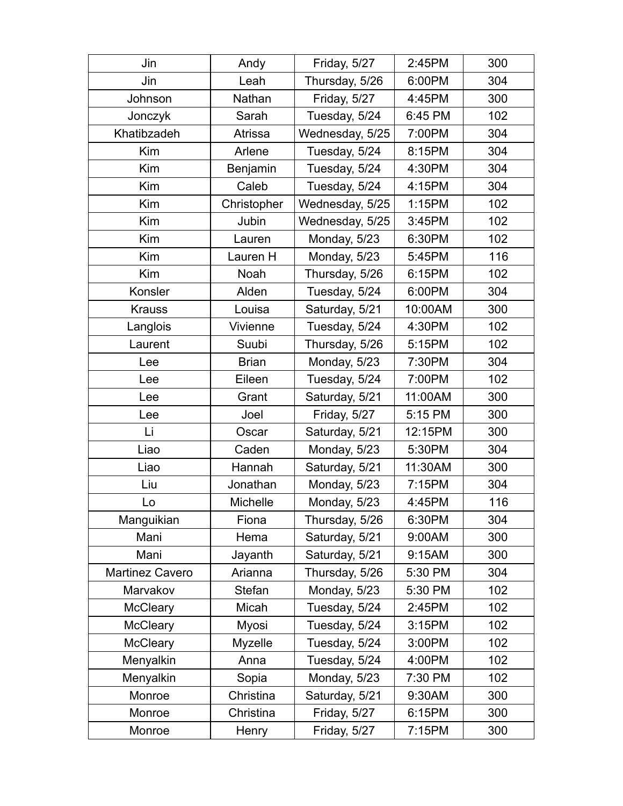| Jin                    | Andy           | Friday, 5/27    | 2:45PM  | 300 |
|------------------------|----------------|-----------------|---------|-----|
| Jin                    | Leah           | Thursday, 5/26  | 6:00PM  | 304 |
| Johnson                | Nathan         | Friday, 5/27    | 4:45PM  | 300 |
| Jonczyk                | Sarah          | Tuesday, 5/24   | 6:45 PM | 102 |
| Khatibzadeh            | Atrissa        | Wednesday, 5/25 | 7:00PM  | 304 |
| Kim                    | Arlene         | Tuesday, 5/24   | 8:15PM  | 304 |
| Kim                    | Benjamin       | Tuesday, 5/24   | 4:30PM  | 304 |
| Kim                    | Caleb          | Tuesday, 5/24   | 4:15PM  | 304 |
| Kim                    | Christopher    | Wednesday, 5/25 | 1:15PM  | 102 |
| Kim                    | Jubin          | Wednesday, 5/25 | 3:45PM  | 102 |
| Kim                    | Lauren         | Monday, 5/23    | 6:30PM  | 102 |
| Kim                    | Lauren H       | Monday, 5/23    | 5:45PM  | 116 |
| Kim                    | Noah           | Thursday, 5/26  | 6:15PM  | 102 |
| Konsler                | Alden          | Tuesday, 5/24   | 6:00PM  | 304 |
| <b>Krauss</b>          | Louisa         | Saturday, 5/21  | 10:00AM | 300 |
| Langlois               | Vivienne       | Tuesday, 5/24   | 4:30PM  | 102 |
| Laurent                | Suubi          | Thursday, 5/26  | 5:15PM  | 102 |
| Lee                    | <b>Brian</b>   | Monday, 5/23    | 7:30PM  | 304 |
| Lee                    | Eileen         | Tuesday, 5/24   | 7:00PM  | 102 |
| Lee                    | Grant          | Saturday, 5/21  | 11:00AM | 300 |
| Lee                    | Joel           | Friday, 5/27    | 5:15 PM | 300 |
| Li                     | Oscar          | Saturday, 5/21  | 12:15PM | 300 |
| Liao                   | Caden          | Monday, 5/23    | 5:30PM  | 304 |
| Liao                   | Hannah         | Saturday, 5/21  | 11:30AM | 300 |
| Liu                    | Jonathan       | Monday, 5/23    | 7:15PM  | 304 |
| Lo                     | Michelle       | Monday, 5/23    | 4:45PM  | 116 |
| Manguikian             | Fiona          | Thursday, 5/26  | 6:30PM  | 304 |
| Mani                   | Hema           | Saturday, 5/21  | 9:00AM  | 300 |
| Mani                   | Jayanth        | Saturday, 5/21  | 9:15AM  | 300 |
| <b>Martinez Cavero</b> | Arianna        | Thursday, 5/26  | 5:30 PM | 304 |
| Marvakov               | Stefan         | Monday, 5/23    | 5:30 PM | 102 |
| <b>McCleary</b>        | Micah          | Tuesday, 5/24   | 2:45PM  | 102 |
| <b>McCleary</b>        | Myosi          | Tuesday, 5/24   | 3:15PM  | 102 |
| <b>McCleary</b>        | <b>Myzelle</b> | Tuesday, 5/24   | 3:00PM  | 102 |
| Menyalkin              | Anna           | Tuesday, 5/24   | 4:00PM  | 102 |
| Menyalkin              | Sopia          | Monday, 5/23    | 7:30 PM | 102 |
| Monroe                 | Christina      | Saturday, 5/21  | 9:30AM  | 300 |
| Monroe                 | Christina      | Friday, 5/27    | 6:15PM  | 300 |
| Monroe                 | Henry          | Friday, 5/27    | 7:15PM  | 300 |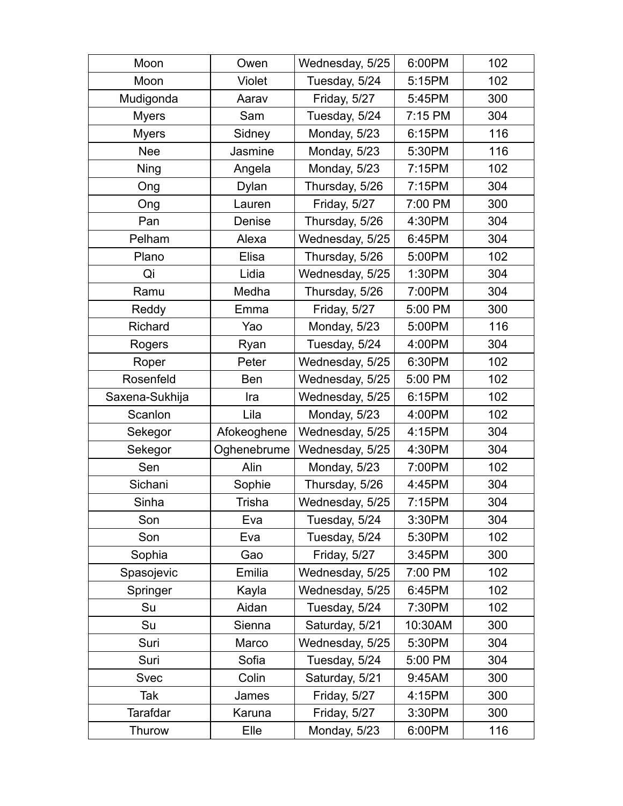| Moon            | Owen          | Wednesday, 5/25 | 6:00PM  | 102 |
|-----------------|---------------|-----------------|---------|-----|
| Moon            | <b>Violet</b> | Tuesday, 5/24   | 5:15PM  | 102 |
| Mudigonda       | Aarav         | Friday, 5/27    | 5:45PM  | 300 |
| <b>Myers</b>    | Sam           | Tuesday, 5/24   | 7:15 PM | 304 |
| <b>Myers</b>    | Sidney        | Monday, 5/23    | 6:15PM  | 116 |
| <b>Nee</b>      | Jasmine       | Monday, 5/23    | 5:30PM  | 116 |
| Ning            | Angela        | Monday, 5/23    | 7:15PM  | 102 |
| Ong             | Dylan         | Thursday, 5/26  | 7:15PM  | 304 |
| Ong             | Lauren        | Friday, 5/27    | 7:00 PM | 300 |
| Pan             | Denise        | Thursday, 5/26  | 4:30PM  | 304 |
| Pelham          | Alexa         | Wednesday, 5/25 | 6:45PM  | 304 |
| Plano           | Elisa         | Thursday, 5/26  | 5:00PM  | 102 |
| Qi              | Lidia         | Wednesday, 5/25 | 1:30PM  | 304 |
| Ramu            | Medha         | Thursday, 5/26  | 7:00PM  | 304 |
| Reddy           | Emma          | Friday, 5/27    | 5:00 PM | 300 |
| Richard         | Yao           | Monday, 5/23    | 5:00PM  | 116 |
| Rogers          | Ryan          | Tuesday, 5/24   | 4:00PM  | 304 |
| Roper           | Peter         | Wednesday, 5/25 | 6:30PM  | 102 |
| Rosenfeld       | <b>Ben</b>    | Wednesday, 5/25 | 5:00 PM | 102 |
| Saxena-Sukhija  | Ira           | Wednesday, 5/25 | 6:15PM  | 102 |
| Scanlon         | Lila          | Monday, 5/23    | 4:00PM  | 102 |
| Sekegor         | Afokeoghene   | Wednesday, 5/25 | 4:15PM  | 304 |
| Sekegor         | Oghenebrume   | Wednesday, 5/25 | 4:30PM  | 304 |
| Sen             | Alin          | Monday, 5/23    | 7:00PM  | 102 |
| Sichani         | Sophie        | Thursday, 5/26  | 4:45PM  | 304 |
| Sinha           | Trisha        | Wednesday, 5/25 | 7:15PM  | 304 |
| Son             | Eva           | Tuesday, 5/24   | 3:30PM  | 304 |
| Son             | Eva           | Tuesday, 5/24   | 5:30PM  | 102 |
| Sophia          | Gao           | Friday, 5/27    | 3:45PM  | 300 |
| Spasojevic      | Emilia        | Wednesday, 5/25 | 7:00 PM | 102 |
| Springer        | Kayla         | Wednesday, 5/25 | 6:45PM  | 102 |
| Su              | Aidan         | Tuesday, 5/24   | 7:30PM  | 102 |
| Su              | Sienna        | Saturday, 5/21  | 10:30AM | 300 |
| Suri            | Marco         | Wednesday, 5/25 | 5:30PM  | 304 |
| Suri            | Sofia         | Tuesday, 5/24   | 5:00 PM | 304 |
| <b>Svec</b>     | Colin         | Saturday, 5/21  | 9:45AM  | 300 |
| Tak             | James         | Friday, 5/27    | 4:15PM  | 300 |
| <b>Tarafdar</b> | Karuna        | Friday, 5/27    | 3:30PM  | 300 |
| Thurow          | Elle          | Monday, 5/23    | 6:00PM  | 116 |